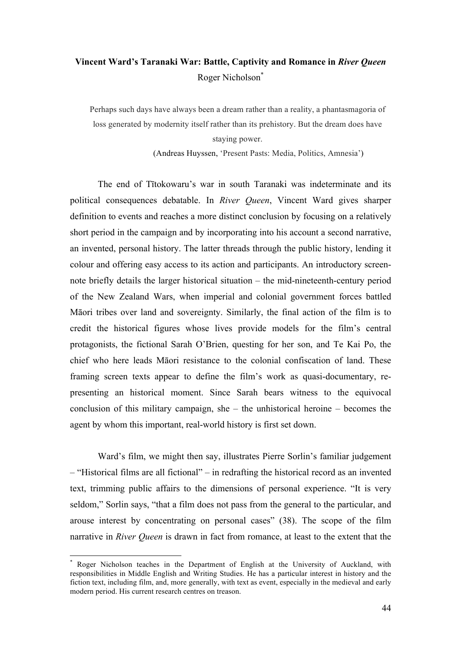## **Vincent Ward's Taranaki War: Battle, Captivity and Romance in** *River Queen* Roger Nicholson\*

Perhaps such days have always been a dream rather than a reality, a phantasmagoria of loss generated by modernity itself rather than its prehistory. But the dream does have staying power.

(Andreas Huyssen, 'Present Pasts: Media, Politics, Amnesia')

The end of Tītokowaru's war in south Taranaki was indeterminate and its political consequences debatable. In *River Queen*, Vincent Ward gives sharper definition to events and reaches a more distinct conclusion by focusing on a relatively short period in the campaign and by incorporating into his account a second narrative, an invented, personal history. The latter threads through the public history, lending it colour and offering easy access to its action and participants. An introductory screennote briefly details the larger historical situation – the mid-nineteenth-century period of the New Zealand Wars, when imperial and colonial government forces battled Māori tribes over land and sovereignty. Similarly, the final action of the film is to credit the historical figures whose lives provide models for the film's central protagonists, the fictional Sarah O'Brien, questing for her son, and Te Kai Po, the chief who here leads Māori resistance to the colonial confiscation of land. These framing screen texts appear to define the film's work as quasi-documentary, representing an historical moment. Since Sarah bears witness to the equivocal conclusion of this military campaign, she – the unhistorical heroine – becomes the agent by whom this important, real-world history is first set down.

Ward's film, we might then say, illustrates Pierre Sorlin's familiar judgement – "Historical films are all fictional" – in redrafting the historical record as an invented text, trimming public affairs to the dimensions of personal experience. "It is very seldom," Sorlin says, "that a film does not pass from the general to the particular, and arouse interest by concentrating on personal cases" (38). The scope of the film narrative in *River Queen* is drawn in fact from romance, at least to the extent that the

Roger Nicholson teaches in the Department of English at the University of Auckland, with responsibilities in Middle English and Writing Studies. He has a particular interest in history and the fiction text, including film, and, more generally, with text as event, especially in the medieval and early modern period. His current research centres on treason.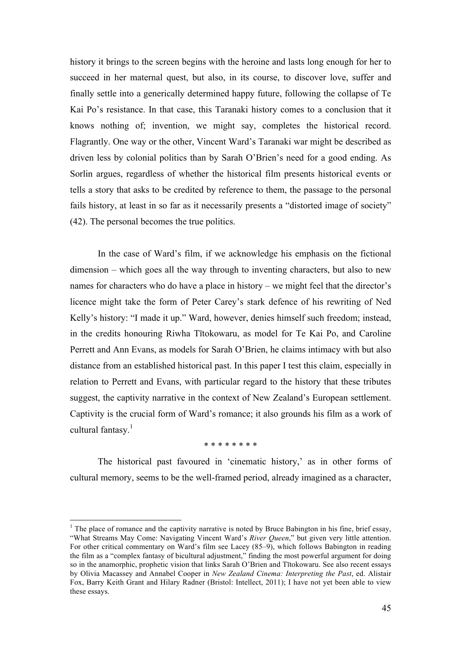history it brings to the screen begins with the heroine and lasts long enough for her to succeed in her maternal quest, but also, in its course, to discover love, suffer and finally settle into a generically determined happy future, following the collapse of Te Kai Po's resistance. In that case, this Taranaki history comes to a conclusion that it knows nothing of; invention, we might say, completes the historical record. Flagrantly. One way or the other, Vincent Ward's Taranaki war might be described as driven less by colonial politics than by Sarah O'Brien's need for a good ending. As Sorlin argues, regardless of whether the historical film presents historical events or tells a story that asks to be credited by reference to them, the passage to the personal fails history, at least in so far as it necessarily presents a "distorted image of society" (42). The personal becomes the true politics.

In the case of Ward's film, if we acknowledge his emphasis on the fictional dimension – which goes all the way through to inventing characters, but also to new names for characters who do have a place in history – we might feel that the director's licence might take the form of Peter Carey's stark defence of his rewriting of Ned Kelly's history: "I made it up." Ward, however, denies himself such freedom; instead, in the credits honouring Riwha Tītokowaru, as model for Te Kai Po, and Caroline Perrett and Ann Evans, as models for Sarah O'Brien, he claims intimacy with but also distance from an established historical past. In this paper I test this claim, especially in relation to Perrett and Evans, with particular regard to the history that these tributes suggest, the captivity narrative in the context of New Zealand's European settlement. Captivity is the crucial form of Ward's romance; it also grounds his film as a work of cultural fantasy. $<sup>1</sup>$ </sup>

## \* \* \* \* \* \* \* \*

The historical past favoured in 'cinematic history,' as in other forms of cultural memory, seems to be the well-framed period, already imagined as a character,

<sup>&</sup>lt;sup>1</sup> The place of romance and the captivity narrative is noted by Bruce Babington in his fine, brief essay, "What Streams May Come: Navigating Vincent Ward's *River Queen*," but given very little attention. For other critical commentary on Ward's film see Lacey (85–9), which follows Babington in reading the film as a "complex fantasy of bicultural adjustment," finding the most powerful argument for doing so in the anamorphic, prophetic vision that links Sarah O'Brien and Tītokowaru. See also recent essays by Olivia Macassey and Annabel Cooper in *New Zealand Cinema: Interpreting the Past*, ed. Alistair Fox, Barry Keith Grant and Hilary Radner (Bristol: Intellect, 2011); I have not yet been able to view these essays.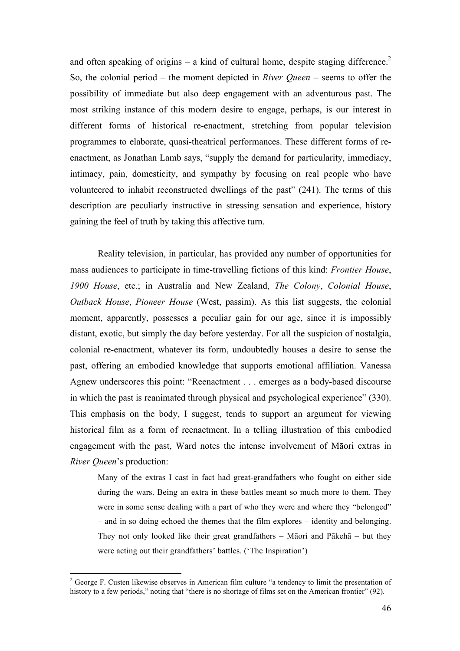and often speaking of origins – a kind of cultural home, despite staging difference.<sup>2</sup> So, the colonial period – the moment depicted in *River Queen* – seems to offer the possibility of immediate but also deep engagement with an adventurous past. The most striking instance of this modern desire to engage, perhaps, is our interest in different forms of historical re-enactment, stretching from popular television programmes to elaborate, quasi-theatrical performances. These different forms of reenactment, as Jonathan Lamb says, "supply the demand for particularity, immediacy, intimacy, pain, domesticity, and sympathy by focusing on real people who have volunteered to inhabit reconstructed dwellings of the past" (241). The terms of this description are peculiarly instructive in stressing sensation and experience, history gaining the feel of truth by taking this affective turn.

Reality television, in particular, has provided any number of opportunities for mass audiences to participate in time-travelling fictions of this kind: *Frontier House*, *1900 House*, etc.; in Australia and New Zealand, *The Colony*, *Colonial House*, *Outback House*, *Pioneer House* (West, passim). As this list suggests, the colonial moment, apparently, possesses a peculiar gain for our age, since it is impossibly distant, exotic, but simply the day before yesterday. For all the suspicion of nostalgia, colonial re-enactment, whatever its form, undoubtedly houses a desire to sense the past, offering an embodied knowledge that supports emotional affiliation. Vanessa Agnew underscores this point: "Reenactment . . . emerges as a body-based discourse in which the past is reanimated through physical and psychological experience" (330). This emphasis on the body, I suggest, tends to support an argument for viewing historical film as a form of reenactment. In a telling illustration of this embodied engagement with the past, Ward notes the intense involvement of Māori extras in *River Queen*'s production:

Many of the extras I cast in fact had great-grandfathers who fought on either side during the wars. Being an extra in these battles meant so much more to them. They were in some sense dealing with a part of who they were and where they "belonged" – and in so doing echoed the themes that the film explores – identity and belonging. They not only looked like their great grandfathers – Māori and Pākehā – but they were acting out their grandfathers' battles. ('The Inspiration')

<sup>&</sup>lt;sup>2</sup> George F. Custen likewise observes in American film culture "a tendency to limit the presentation of history to a few periods," noting that "there is no shortage of films set on the American frontier" (92).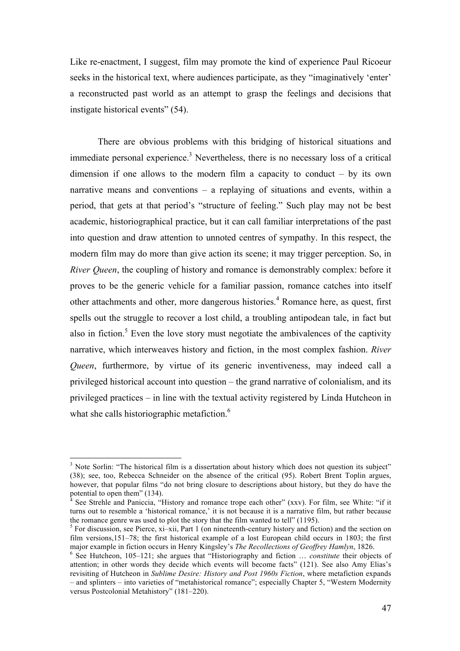Like re-enactment, I suggest, film may promote the kind of experience Paul Ricoeur seeks in the historical text, where audiences participate, as they "imaginatively 'enter' a reconstructed past world as an attempt to grasp the feelings and decisions that instigate historical events" (54).

There are obvious problems with this bridging of historical situations and immediate personal experience.<sup>3</sup> Nevertheless, there is no necessary loss of a critical dimension if one allows to the modern film a capacity to conduct – by its own narrative means and conventions – a replaying of situations and events, within a period, that gets at that period's "structure of feeling." Such play may not be best academic, historiographical practice, but it can call familiar interpretations of the past into question and draw attention to unnoted centres of sympathy. In this respect, the modern film may do more than give action its scene; it may trigger perception. So, in *River Queen*, the coupling of history and romance is demonstrably complex: before it proves to be the generic vehicle for a familiar passion, romance catches into itself other attachments and other, more dangerous histories.<sup>4</sup> Romance here, as quest, first spells out the struggle to recover a lost child, a troubling antipodean tale, in fact but also in fiction.<sup>5</sup> Even the love story must negotiate the ambivalences of the captivity narrative, which interweaves history and fiction, in the most complex fashion. *River Queen*, furthermore, by virtue of its generic inventiveness, may indeed call a privileged historical account into question – the grand narrative of colonialism, and its privileged practices – in line with the textual activity registered by Linda Hutcheon in what she calls historiographic metafiction.<sup>6</sup>

<sup>&</sup>lt;sup>3</sup> Note Sorlin: "The historical film is a dissertation about history which does not question its subject" (38); see, too, Rebecca Schneider on the absence of the critical (95). Robert Brent Toplin argues, however, that popular films "do not bring closure to descriptions about history, but they do have the potential to open them" (134).<br><sup>4</sup> See Strehle and Paniccia, "History and romance trope each other" (xxv). For film, see White: "if it

turns out to resemble a 'historical romance,' it is not because it is a narrative film, but rather because the romance genre was used to plot the story that the film wanted to tell" (1195).

 $\frac{1}{5}$  For discussion, see Pierce, xi–xii, Part 1 (on nineteenth-century history and fiction) and the section on film versions,151–78; the first historical example of a lost European child occurs in 1803; the first major example in fiction occurs in Henry Kingsley's *The Recollections of Geoffrey Hamlyn*, 1826.<br><sup>6</sup> See Hutcheon, 105–121; she argues that "Historiography and fiction … *constitute* their objects of

attention; in other words they decide which events will become facts" (121). See also Amy Elias's revisiting of Hutcheon in *Sublime Desire: History and Post 1960s Fiction*, where metafiction expands – and splinters – into varieties of "metahistorical romance"; especially Chapter 5, "Western Modernity versus Postcolonial Metahistory" (181–220).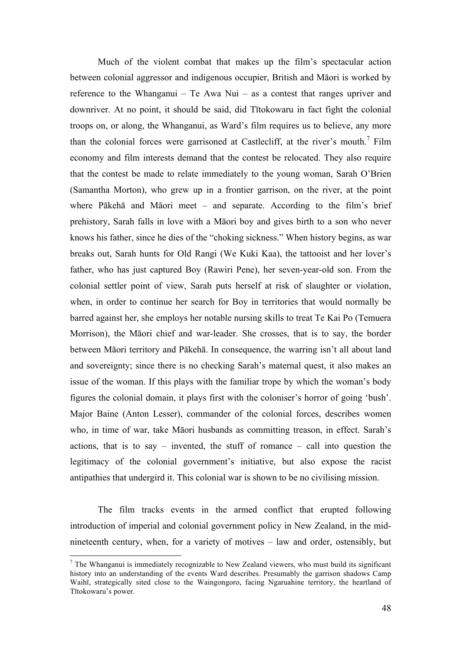Much of the violent combat that makes up the film's spectacular action between colonial aggressor and indigenous occupier, British and Māori is worked by reference to the Whanganui – Te Awa Nui – as a contest that ranges upriver and downriver. At no point, it should be said, did Tītokowaru in fact fight the colonial troops on, or along, the Whanganui, as Ward's film requires us to believe, any more than the colonial forces were garrisoned at Castlecliff, at the river's mouth.<sup>7</sup> Film economy and film interests demand that the contest be relocated. They also require that the contest be made to relate immediately to the young woman, Sarah O'Brien (Samantha Morton), who grew up in a frontier garrison, on the river, at the point where Pākehā and Māori meet – and separate. According to the film's brief prehistory, Sarah falls in love with a Māori boy and gives birth to a son who never knows his father, since he dies of the "choking sickness." When history begins, as war breaks out, Sarah hunts for Old Rangi (We Kuki Kaa), the tattooist and her lover's father, who has just captured Boy (Rawiri Pene), her seven-year-old son. From the colonial settler point of view, Sarah puts herself at risk of slaughter or violation, when, in order to continue her search for Boy in territories that would normally be barred against her, she employs her notable nursing skills to treat Te Kai Po (Temuera Morrison), the Māori chief and war-leader. She crosses, that is to say, the border between Māori territory and Pākehā. In consequence, the warring isn't all about land and sovereignty; since there is no checking Sarah's maternal quest, it also makes an issue of the woman. If this plays with the familiar trope by which the woman's body figures the colonial domain, it plays first with the coloniser's horror of going 'bush'. Major Baine (Anton Lesser), commander of the colonial forces, describes women who, in time of war, take Māori husbands as committing treason, in effect. Sarah's actions, that is to say – invented, the stuff of romance – call into question the legitimacy of the colonial government's initiative, but also expose the racist antipathies that undergird it. This colonial war is shown to be no civilising mission.

The film tracks events in the armed conflict that erupted following introduction of imperial and colonial government policy in New Zealand, in the midnineteenth century, when, for a variety of motives – law and order, ostensibly, but

 $<sup>7</sup>$  The Whanganui is immediately recognizable to New Zealand viewers, who must build its significant</sup> history into an understanding of the events Ward describes. Presumably the garrison shadows Camp Waihī, strategically sited close to the Waingongoro, facing Ngaruahine territory, the heartland of Tītokowaru's power.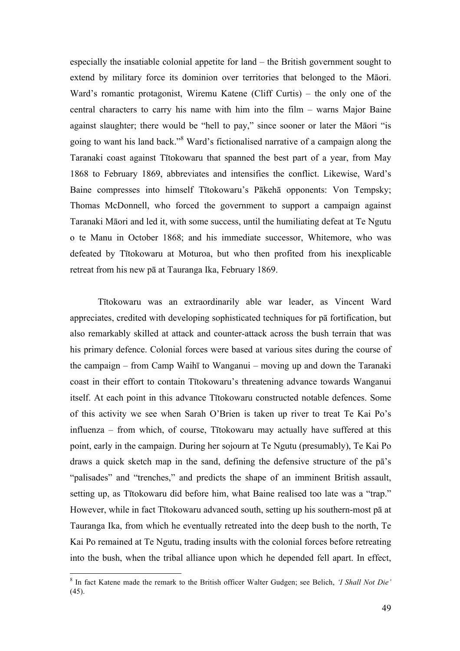especially the insatiable colonial appetite for land – the British government sought to extend by military force its dominion over territories that belonged to the Māori. Ward's romantic protagonist, Wiremu Katene (Cliff Curtis) – the only one of the central characters to carry his name with him into the film – warns Major Baine against slaughter; there would be "hell to pay," since sooner or later the Māori "is going to want his land back."<sup>8</sup> Ward's fictionalised narrative of a campaign along the Taranaki coast against Tītokowaru that spanned the best part of a year, from May 1868 to February 1869, abbreviates and intensifies the conflict. Likewise, Ward's Baine compresses into himself Tītokowaru's Pākehā opponents: Von Tempsky; Thomas McDonnell, who forced the government to support a campaign against Taranaki Māori and led it, with some success, until the humiliating defeat at Te Ngutu o te Manu in October 1868; and his immediate successor, Whitemore, who was defeated by Tītokowaru at Moturoa, but who then profited from his inexplicable retreat from his new pā at Tauranga Ika, February 1869.

Tītokowaru was an extraordinarily able war leader, as Vincent Ward appreciates, credited with developing sophisticated techniques for pā fortification, but also remarkably skilled at attack and counter-attack across the bush terrain that was his primary defence. Colonial forces were based at various sites during the course of the campaign – from Camp Waihī to Wanganui – moving up and down the Taranaki coast in their effort to contain Tītokowaru's threatening advance towards Wanganui itself. At each point in this advance Tītokowaru constructed notable defences. Some of this activity we see when Sarah O'Brien is taken up river to treat Te Kai Po's influenza – from which, of course, Tītokowaru may actually have suffered at this point, early in the campaign. During her sojourn at Te Ngutu (presumably), Te Kai Po draws a quick sketch map in the sand, defining the defensive structure of the pā's "palisades" and "trenches," and predicts the shape of an imminent British assault, setting up, as Tītokowaru did before him, what Baine realised too late was a "trap." However, while in fact Tītokowaru advanced south, setting up his southern-most pā at Tauranga Ika, from which he eventually retreated into the deep bush to the north, Te Kai Po remained at Te Ngutu, trading insults with the colonial forces before retreating into the bush, when the tribal alliance upon which he depended fell apart. In effect,

 <sup>8</sup> In fact Katene made the remark to the British officer Walter Gudgen; see Belich, *'I Shall Not Die'*  $(45)$ .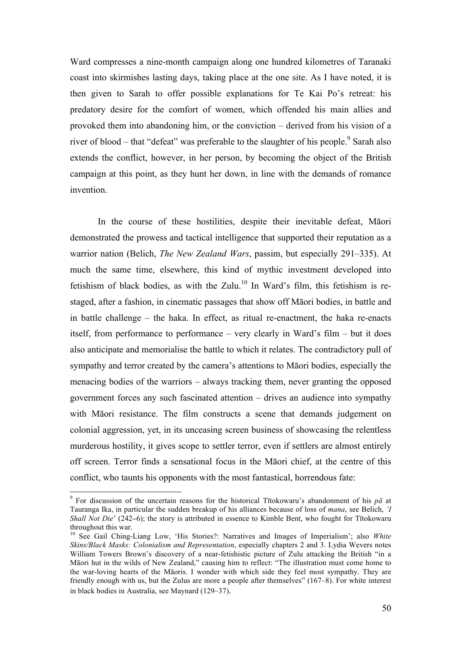Ward compresses a nine-month campaign along one hundred kilometres of Taranaki coast into skirmishes lasting days, taking place at the one site. As I have noted, it is then given to Sarah to offer possible explanations for Te Kai Po's retreat: his predatory desire for the comfort of women, which offended his main allies and provoked them into abandoning him, or the conviction – derived from his vision of a river of blood – that "defeat" was preferable to the slaughter of his people. Sarah also extends the conflict, however, in her person, by becoming the object of the British campaign at this point, as they hunt her down, in line with the demands of romance invention.

In the course of these hostilities, despite their inevitable defeat, Māori demonstrated the prowess and tactical intelligence that supported their reputation as a warrior nation (Belich, *The New Zealand Wars*, passim, but especially 291–335). At much the same time, elsewhere, this kind of mythic investment developed into fetishism of black bodies, as with the Zulu.<sup>10</sup> In Ward's film, this fetishism is restaged, after a fashion, in cinematic passages that show off Māori bodies, in battle and in battle challenge – the haka. In effect, as ritual re-enactment, the haka re-enacts itself, from performance to performance – very clearly in Ward's film – but it does also anticipate and memorialise the battle to which it relates. The contradictory pull of sympathy and terror created by the camera's attentions to Māori bodies, especially the menacing bodies of the warriors – always tracking them, never granting the opposed government forces any such fascinated attention – drives an audience into sympathy with Māori resistance. The film constructs a scene that demands judgement on colonial aggression, yet, in its unceasing screen business of showcasing the relentless murderous hostility, it gives scope to settler terror, even if settlers are almost entirely off screen. Terror finds a sensational focus in the Māori chief, at the centre of this conflict, who taunts his opponents with the most fantastical, horrendous fate:

 <sup>9</sup> For discussion of the uncertain reasons for the historical Tītokowaru's abandonment of his *p<sup>ā</sup>* at Tauranga Ika, in particular the sudden breakup of his alliances because of loss of *mana*, see Belich, *'I Shall Not Die*' (242**–**6); the story is attributed in essence to Kimble Bent, who fought for Tītokowaru

throughout this war.<br><sup>10</sup> See Gail Ching-Liang Low, 'His Stories?: Narratives and Images of Imperialism'; also *White Skins/Black Masks: Colonialism and Representation*, especially chapters 2 and 3. Lydia Wevers notes William Towers Brown's discovery of a near-fetishistic picture of Zulu attacking the British "in a Māori hut in the wilds of New Zealand," causing him to reflect: "The illustration must come home to the war-loving hearts of the Māoris. I wonder with which side they feel most sympathy. They are friendly enough with us, but the Zulus are more a people after themselves" (167–8). For white interest in black bodies in Australia, see Maynard (129–37).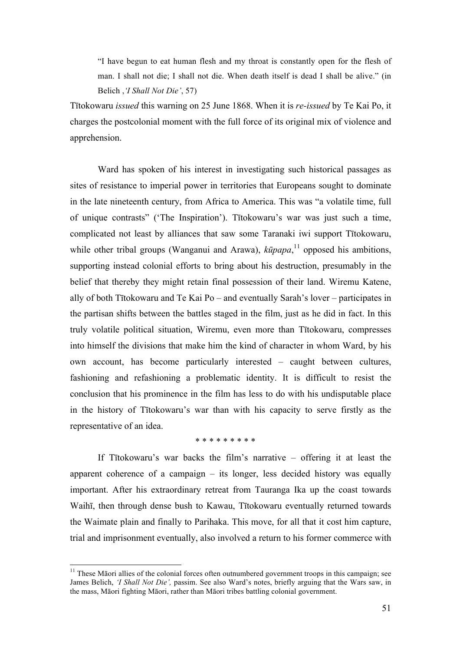"I have begun to eat human flesh and my throat is constantly open for the flesh of man. I shall not die; I shall not die. When death itself is dead I shall be alive." (in Belich ,*'I Shall Not Die'*, 57)

Tītokowaru *issued* this warning on 25 June 1868. When it is *re-issued* by Te Kai Po, it charges the postcolonial moment with the full force of its original mix of violence and apprehension.

Ward has spoken of his interest in investigating such historical passages as sites of resistance to imperial power in territories that Europeans sought to dominate in the late nineteenth century, from Africa to America. This was "a volatile time, full of unique contrasts" ('The Inspiration'). Tītokowaru's war was just such a time, complicated not least by alliances that saw some Taranaki iwi support Tītokowaru, while other tribal groups (Wanganui and Arawa), *kūpapa*, <sup>11</sup> opposed his ambitions, supporting instead colonial efforts to bring about his destruction, presumably in the belief that thereby they might retain final possession of their land. Wiremu Katene, ally of both Tītokowaru and Te Kai Po – and eventually Sarah's lover – participates in the partisan shifts between the battles staged in the film, just as he did in fact. In this truly volatile political situation, Wiremu, even more than Tītokowaru, compresses into himself the divisions that make him the kind of character in whom Ward, by his own account, has become particularly interested – caught between cultures, fashioning and refashioning a problematic identity. It is difficult to resist the conclusion that his prominence in the film has less to do with his undisputable place in the history of Tītokowaru's war than with his capacity to serve firstly as the representative of an idea.

\* \* \* \* \* \* \* \* \*

If Tītokowaru's war backs the film's narrative – offering it at least the apparent coherence of a campaign – its longer, less decided history was equally important. After his extraordinary retreat from Tauranga Ika up the coast towards Waihī, then through dense bush to Kawau, Tītokowaru eventually returned towards the Waimate plain and finally to Parihaka. This move, for all that it cost him capture, trial and imprisonment eventually, also involved a return to his former commerce with

<sup>&</sup>lt;sup>11</sup> These Māori allies of the colonial forces often outnumbered government troops in this campaign; see James Belich, *'I Shall Not Die',* passim. See also Ward's notes, briefly arguing that the Wars saw, in the mass, Māori fighting Māori, rather than Māori tribes battling colonial government.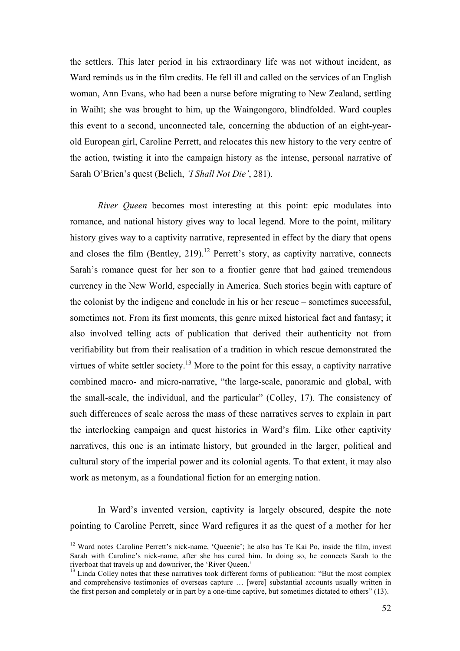the settlers. This later period in his extraordinary life was not without incident, as Ward reminds us in the film credits. He fell ill and called on the services of an English woman, Ann Evans, who had been a nurse before migrating to New Zealand, settling in Waihī; she was brought to him, up the Waingongoro, blindfolded. Ward couples this event to a second, unconnected tale, concerning the abduction of an eight-yearold European girl, Caroline Perrett, and relocates this new history to the very centre of the action, twisting it into the campaign history as the intense, personal narrative of Sarah O'Brien's quest (Belich, *'I Shall Not Die'*, 281).

*River Queen* becomes most interesting at this point: epic modulates into romance, and national history gives way to local legend. More to the point, military history gives way to a captivity narrative, represented in effect by the diary that opens and closes the film (Bentley, 219).<sup>12</sup> Perrett's story, as captivity narrative, connects Sarah's romance quest for her son to a frontier genre that had gained tremendous currency in the New World, especially in America. Such stories begin with capture of the colonist by the indigene and conclude in his or her rescue – sometimes successful, sometimes not. From its first moments, this genre mixed historical fact and fantasy; it also involved telling acts of publication that derived their authenticity not from verifiability but from their realisation of a tradition in which rescue demonstrated the virtues of white settler society.<sup>13</sup> More to the point for this essay, a captivity narrative combined macro- and micro-narrative, "the large-scale, panoramic and global, with the small-scale, the individual, and the particular" (Colley, 17). The consistency of such differences of scale across the mass of these narratives serves to explain in part the interlocking campaign and quest histories in Ward's film. Like other captivity narratives, this one is an intimate history, but grounded in the larger, political and cultural story of the imperial power and its colonial agents. To that extent, it may also work as metonym, as a foundational fiction for an emerging nation.

In Ward's invented version, captivity is largely obscured, despite the note pointing to Caroline Perrett, since Ward refigures it as the quest of a mother for her

<sup>&</sup>lt;sup>12</sup> Ward notes Caroline Perrett's nick-name, 'Queenie'; he also has Te Kai Po, inside the film, invest Sarah with Caroline's nick-name, after she has cured him. In doing so, he connects Sarah to the riverboat that travels up and downriver, the 'River Oueen.'

<sup>&</sup>lt;sup>13</sup> Linda Colley notes that these narratives took different forms of publication: "But the most complex  $\frac{13}{2}$ and comprehensive testimonies of overseas capture … [were] substantial accounts usually written in the first person and completely or in part by a one-time captive, but sometimes dictated to others" (13).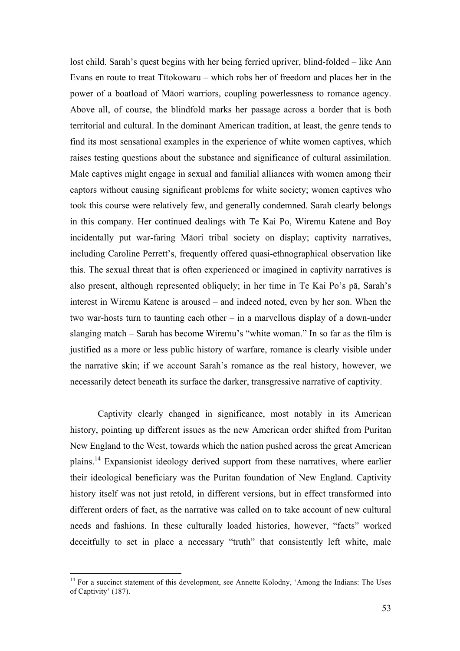lost child. Sarah's quest begins with her being ferried upriver, blind-folded – like Ann Evans en route to treat Tītokowaru – which robs her of freedom and places her in the power of a boatload of Māori warriors, coupling powerlessness to romance agency. Above all, of course, the blindfold marks her passage across a border that is both territorial and cultural. In the dominant American tradition, at least, the genre tends to find its most sensational examples in the experience of white women captives, which raises testing questions about the substance and significance of cultural assimilation. Male captives might engage in sexual and familial alliances with women among their captors without causing significant problems for white society; women captives who took this course were relatively few, and generally condemned. Sarah clearly belongs in this company. Her continued dealings with Te Kai Po, Wiremu Katene and Boy incidentally put war-faring Māori tribal society on display; captivity narratives, including Caroline Perrett's, frequently offered quasi-ethnographical observation like this. The sexual threat that is often experienced or imagined in captivity narratives is also present, although represented obliquely; in her time in Te Kai Po's pā, Sarah's interest in Wiremu Katene is aroused – and indeed noted, even by her son. When the two war-hosts turn to taunting each other – in a marvellous display of a down-under slanging match – Sarah has become Wiremu's "white woman." In so far as the film is justified as a more or less public history of warfare, romance is clearly visible under the narrative skin; if we account Sarah's romance as the real history, however, we necessarily detect beneath its surface the darker, transgressive narrative of captivity.

Captivity clearly changed in significance, most notably in its American history, pointing up different issues as the new American order shifted from Puritan New England to the West, towards which the nation pushed across the great American plains.<sup>14</sup> Expansionist ideology derived support from these narratives, where earlier their ideological beneficiary was the Puritan foundation of New England. Captivity history itself was not just retold, in different versions, but in effect transformed into different orders of fact, as the narrative was called on to take account of new cultural needs and fashions. In these culturally loaded histories, however, "facts" worked deceitfully to set in place a necessary "truth" that consistently left white, male

<sup>&</sup>lt;sup>14</sup> For a succinct statement of this development, see Annette Kolodny, 'Among the Indians: The Uses of Captivity' (187).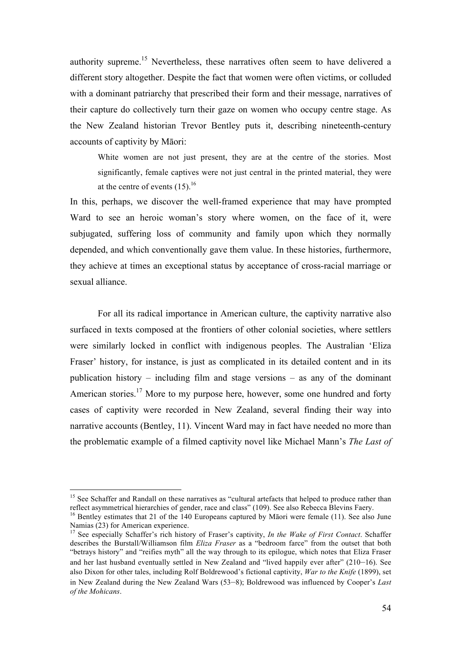authority supreme.15 Nevertheless, these narratives often seem to have delivered a different story altogether. Despite the fact that women were often victims, or colluded with a dominant patriarchy that prescribed their form and their message, narratives of their capture do collectively turn their gaze on women who occupy centre stage. As the New Zealand historian Trevor Bentley puts it, describing nineteenth-century accounts of captivity by Māori:

White women are not just present, they are at the centre of the stories. Most significantly, female captives were not just central in the printed material, they were at the centre of events  $(15)$ <sup>16</sup>

In this, perhaps, we discover the well-framed experience that may have prompted Ward to see an heroic woman's story where women, on the face of it, were subjugated, suffering loss of community and family upon which they normally depended, and which conventionally gave them value. In these histories, furthermore, they achieve at times an exceptional status by acceptance of cross-racial marriage or sexual alliance.

For all its radical importance in American culture, the captivity narrative also surfaced in texts composed at the frontiers of other colonial societies, where settlers were similarly locked in conflict with indigenous peoples. The Australian 'Eliza Fraser' history, for instance, is just as complicated in its detailed content and in its publication history – including film and stage versions – as any of the dominant American stories.<sup>17</sup> More to my purpose here, however, some one hundred and forty cases of captivity were recorded in New Zealand, several finding their way into narrative accounts (Bentley, 11). Vincent Ward may in fact have needed no more than the problematic example of a filmed captivity novel like Michael Mann's *The Last of* 

<sup>&</sup>lt;sup>15</sup> See Schaffer and Randall on these narratives as "cultural artefacts that helped to produce rather than reflect asymmetrical hierarchies of gender, race and class"  $(109)$ . See also Rebecca Blevins Faery.

<sup>&</sup>lt;sup>16</sup> Bentley estimates that 21 of the 140 Europeans captured by Māori were female (11). See also June Namias (23) for American experience.<br><sup>17</sup> See especially Schaffer's rich history of Fraser's captivity, *In the Wake of First Contact*. Schaffer

describes the Burstall/Williamson film *Eliza Fraser* as a "bedroom farce" from the outset that both "betrays history" and "reifies myth" all the way through to its epilogue, which notes that Eliza Fraser and her last husband eventually settled in New Zealand and "lived happily ever after" (210*–*16). See also Dixon for other tales, including Rolf Boldrewood's fictional captivity, *War to the Knife* (1899), set in New Zealand during the New Zealand Wars (53*–*8); Boldrewood was influenced by Cooper's *Last of the Mohicans*.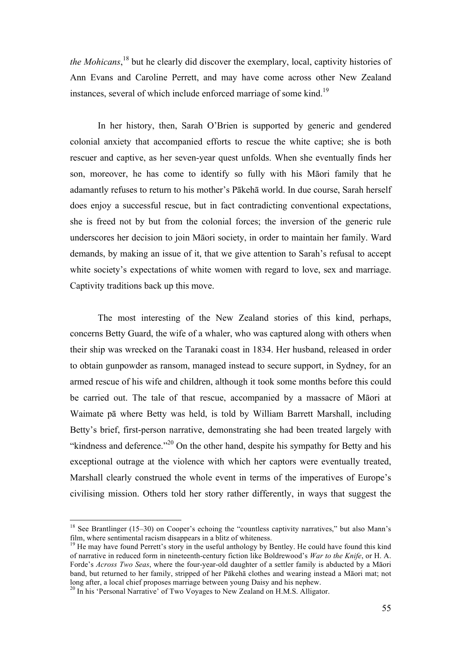*the Mohicans*, <sup>18</sup> but he clearly did discover the exemplary, local, captivity histories of Ann Evans and Caroline Perrett, and may have come across other New Zealand instances, several of which include enforced marriage of some kind.<sup>19</sup>

In her history, then, Sarah O'Brien is supported by generic and gendered colonial anxiety that accompanied efforts to rescue the white captive; she is both rescuer and captive, as her seven-year quest unfolds. When she eventually finds her son, moreover, he has come to identify so fully with his Māori family that he adamantly refuses to return to his mother's Pākehā world. In due course, Sarah herself does enjoy a successful rescue, but in fact contradicting conventional expectations, she is freed not by but from the colonial forces; the inversion of the generic rule underscores her decision to join Māori society, in order to maintain her family. Ward demands, by making an issue of it, that we give attention to Sarah's refusal to accept white society's expectations of white women with regard to love, sex and marriage. Captivity traditions back up this move.

The most interesting of the New Zealand stories of this kind, perhaps, concerns Betty Guard, the wife of a whaler, who was captured along with others when their ship was wrecked on the Taranaki coast in 1834. Her husband, released in order to obtain gunpowder as ransom, managed instead to secure support, in Sydney, for an armed rescue of his wife and children, although it took some months before this could be carried out. The tale of that rescue, accompanied by a massacre of Māori at Waimate pā where Betty was held, is told by William Barrett Marshall, including Betty's brief, first-person narrative, demonstrating she had been treated largely with "kindness and deference."<sup>20</sup> On the other hand, despite his sympathy for Betty and his exceptional outrage at the violence with which her captors were eventually treated, Marshall clearly construed the whole event in terms of the imperatives of Europe's civilising mission. Others told her story rather differently, in ways that suggest the

<sup>&</sup>lt;sup>18</sup> See Brantlinger (15–30) on Cooper's echoing the "countless captivity narratives," but also Mann's film, where sentimental racism disappears in a blitz of whiteness.

<sup>&</sup>lt;sup>19</sup> He may have found Perrett's story in the useful anthology by Bentley. He could have found this kind of narrative in reduced form in nineteenth-century fiction like Boldrewood's *War to the Knife*, or H. A. Forde's *Across Two Seas*, where the four-year-old daughter of a settler family is abducted by a Māori band, but returned to her family, stripped of her Pākehā clothes and wearing instead a Māori mat; not long after, a local chief proposes marriage between young Daisy and his nephew.

<sup>&</sup>lt;sup>20</sup> In his 'Personal Narrative' of Two Voyages to New Zealand on H.M.S. Alligator.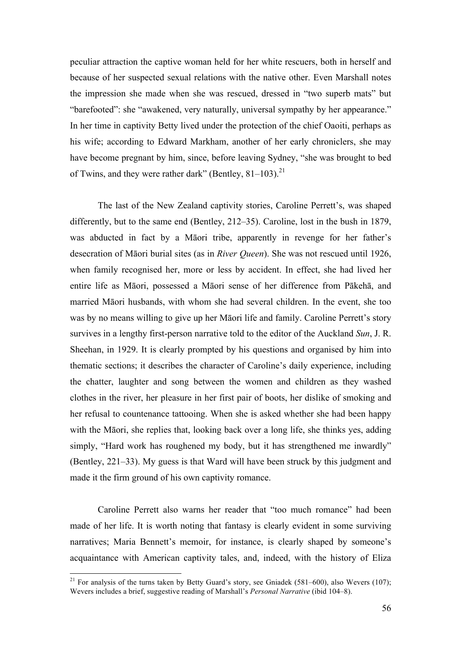peculiar attraction the captive woman held for her white rescuers, both in herself and because of her suspected sexual relations with the native other. Even Marshall notes the impression she made when she was rescued, dressed in "two superb mats" but "barefooted": she "awakened, very naturally, universal sympathy by her appearance." In her time in captivity Betty lived under the protection of the chief Oaoiti, perhaps as his wife; according to Edward Markham, another of her early chroniclers, she may have become pregnant by him, since, before leaving Sydney, "she was brought to bed of Twins, and they were rather dark" (Bentley, 81–103).<sup>21</sup>

The last of the New Zealand captivity stories, Caroline Perrett's, was shaped differently, but to the same end (Bentley, 212*–*35). Caroline, lost in the bush in 1879, was abducted in fact by a Māori tribe, apparently in revenge for her father's desecration of Māori burial sites (as in *River Queen*). She was not rescued until 1926, when family recognised her, more or less by accident. In effect, she had lived her entire life as Māori, possessed a Māori sense of her difference from Pākehā, and married Māori husbands, with whom she had several children. In the event, she too was by no means willing to give up her Māori life and family. Caroline Perrett's story survives in a lengthy first-person narrative told to the editor of the Auckland *Sun*, J. R. Sheehan, in 1929. It is clearly prompted by his questions and organised by him into thematic sections; it describes the character of Caroline's daily experience, including the chatter, laughter and song between the women and children as they washed clothes in the river, her pleasure in her first pair of boots, her dislike of smoking and her refusal to countenance tattooing. When she is asked whether she had been happy with the Māori, she replies that, looking back over a long life, she thinks yes, adding simply, "Hard work has roughened my body, but it has strengthened me inwardly" (Bentley, 221*–*33). My guess is that Ward will have been struck by this judgment and made it the firm ground of his own captivity romance.

Caroline Perrett also warns her reader that "too much romance" had been made of her life. It is worth noting that fantasy is clearly evident in some surviving narratives; Maria Bennett's memoir, for instance, is clearly shaped by someone's acquaintance with American captivity tales, and, indeed, with the history of Eliza

<sup>&</sup>lt;sup>21</sup> For analysis of the turns taken by Betty Guard's story, see Gniadek (581–600), also Wevers (107); Wevers includes a brief, suggestive reading of Marshall's *Personal Narrative* (ibid 104*–*8).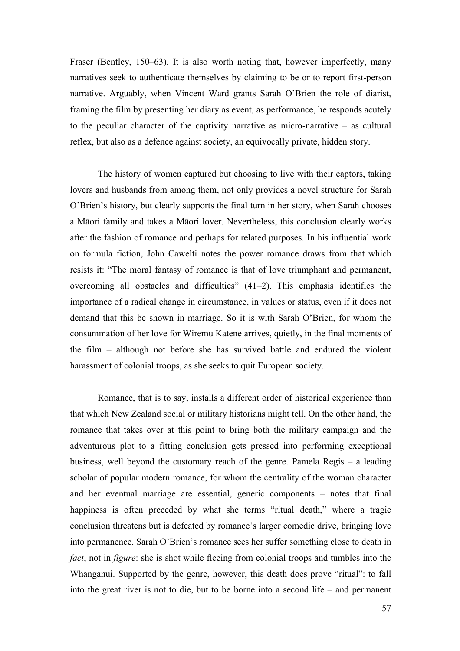Fraser (Bentley, 150*–*63). It is also worth noting that, however imperfectly, many narratives seek to authenticate themselves by claiming to be or to report first-person narrative. Arguably, when Vincent Ward grants Sarah O'Brien the role of diarist, framing the film by presenting her diary as event, as performance, he responds acutely to the peculiar character of the captivity narrative as micro-narrative – as cultural reflex, but also as a defence against society, an equivocally private, hidden story.

The history of women captured but choosing to live with their captors, taking lovers and husbands from among them, not only provides a novel structure for Sarah O'Brien's history, but clearly supports the final turn in her story, when Sarah chooses a Māori family and takes a Māori lover. Nevertheless, this conclusion clearly works after the fashion of romance and perhaps for related purposes. In his influential work on formula fiction, John Cawelti notes the power romance draws from that which resists it: "The moral fantasy of romance is that of love triumphant and permanent, overcoming all obstacles and difficulties" (41*–*2). This emphasis identifies the importance of a radical change in circumstance, in values or status, even if it does not demand that this be shown in marriage. So it is with Sarah O'Brien, for whom the consummation of her love for Wiremu Katene arrives, quietly, in the final moments of the film – although not before she has survived battle and endured the violent harassment of colonial troops, as she seeks to quit European society.

Romance, that is to say, installs a different order of historical experience than that which New Zealand social or military historians might tell. On the other hand, the romance that takes over at this point to bring both the military campaign and the adventurous plot to a fitting conclusion gets pressed into performing exceptional business, well beyond the customary reach of the genre. Pamela Regis – a leading scholar of popular modern romance, for whom the centrality of the woman character and her eventual marriage are essential, generic components – notes that final happiness is often preceded by what she terms "ritual death," where a tragic conclusion threatens but is defeated by romance's larger comedic drive, bringing love into permanence. Sarah O'Brien's romance sees her suffer something close to death in *fact*, not in *figure*: she is shot while fleeing from colonial troops and tumbles into the Whanganui. Supported by the genre, however, this death does prove "ritual": to fall into the great river is not to die, but to be borne into a second life – and permanent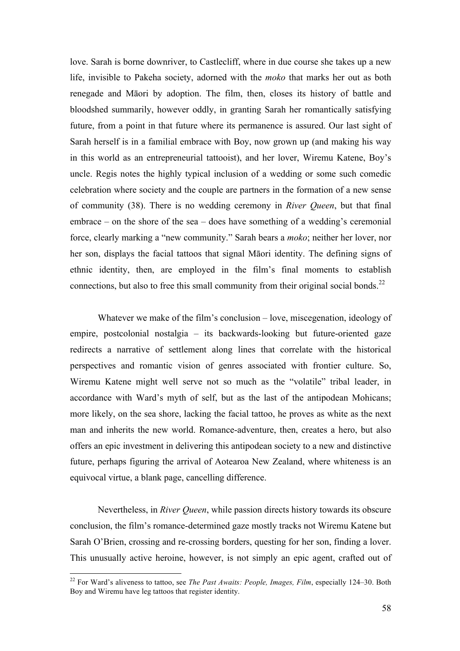love. Sarah is borne downriver, to Castlecliff, where in due course she takes up a new life, invisible to Pakeha society, adorned with the *moko* that marks her out as both renegade and Māori by adoption. The film, then, closes its history of battle and bloodshed summarily, however oddly, in granting Sarah her romantically satisfying future, from a point in that future where its permanence is assured. Our last sight of Sarah herself is in a familial embrace with Boy, now grown up (and making his way in this world as an entrepreneurial tattooist), and her lover, Wiremu Katene, Boy's uncle. Regis notes the highly typical inclusion of a wedding or some such comedic celebration where society and the couple are partners in the formation of a new sense of community (38). There is no wedding ceremony in *River Queen*, but that final embrace – on the shore of the sea – does have something of a wedding's ceremonial force, clearly marking a "new community." Sarah bears a *moko*; neither her lover, nor her son, displays the facial tattoos that signal Māori identity. The defining signs of ethnic identity, then, are employed in the film's final moments to establish connections, but also to free this small community from their original social bonds.<sup>22</sup>

Whatever we make of the film's conclusion – love, miscegenation, ideology of empire, postcolonial nostalgia – its backwards-looking but future-oriented gaze redirects a narrative of settlement along lines that correlate with the historical perspectives and romantic vision of genres associated with frontier culture. So, Wiremu Katene might well serve not so much as the "volatile" tribal leader, in accordance with Ward's myth of self, but as the last of the antipodean Mohicans; more likely, on the sea shore, lacking the facial tattoo, he proves as white as the next man and inherits the new world. Romance-adventure, then, creates a hero, but also offers an epic investment in delivering this antipodean society to a new and distinctive future, perhaps figuring the arrival of Aotearoa New Zealand, where whiteness is an equivocal virtue, a blank page, cancelling difference.

Nevertheless, in *River Queen*, while passion directs history towards its obscure conclusion, the film's romance-determined gaze mostly tracks not Wiremu Katene but Sarah O'Brien, crossing and re-crossing borders, questing for her son, finding a lover. This unusually active heroine, however, is not simply an epic agent, crafted out of

 <sup>22</sup> For Ward's aliveness to tattoo, see *The Past Awaits: People, Images, Film*, especially 124*–*30. Both Boy and Wiremu have leg tattoos that register identity.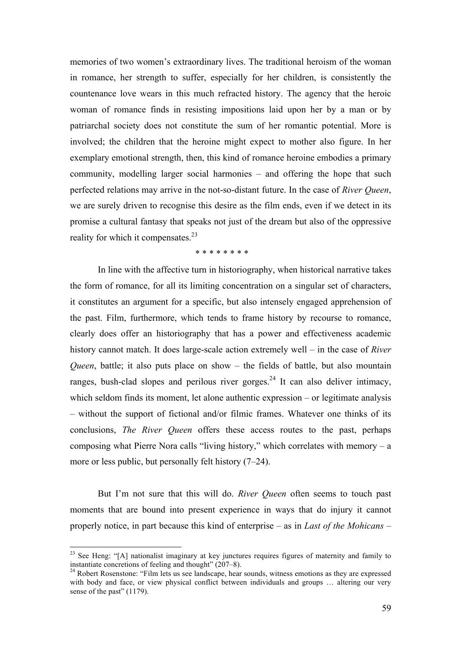memories of two women's extraordinary lives. The traditional heroism of the woman in romance, her strength to suffer, especially for her children, is consistently the countenance love wears in this much refracted history. The agency that the heroic woman of romance finds in resisting impositions laid upon her by a man or by patriarchal society does not constitute the sum of her romantic potential. More is involved; the children that the heroine might expect to mother also figure. In her exemplary emotional strength, then, this kind of romance heroine embodies a primary community, modelling larger social harmonies – and offering the hope that such perfected relations may arrive in the not-so-distant future. In the case of *River Queen*, we are surely driven to recognise this desire as the film ends, even if we detect in its promise a cultural fantasy that speaks not just of the dream but also of the oppressive reality for which it compensates.<sup>23</sup>

## \* \* \* \* \* \* \* \*

In line with the affective turn in historiography, when historical narrative takes the form of romance, for all its limiting concentration on a singular set of characters, it constitutes an argument for a specific, but also intensely engaged apprehension of the past. Film, furthermore, which tends to frame history by recourse to romance, clearly does offer an historiography that has a power and effectiveness academic history cannot match. It does large-scale action extremely well – in the case of *River Queen*, battle; it also puts place on show – the fields of battle, but also mountain ranges, bush-clad slopes and perilous river gorges.<sup>24</sup> It can also deliver intimacy, which seldom finds its moment, let alone authentic expression – or legitimate analysis – without the support of fictional and/or filmic frames. Whatever one thinks of its conclusions, *The River Queen* offers these access routes to the past, perhaps composing what Pierre Nora calls "living history," which correlates with memory  $- a$ more or less public, but personally felt history (7*–*24).

But I'm not sure that this will do. *River Queen* often seems to touch past moments that are bound into present experience in ways that do injury it cannot properly notice, in part because this kind of enterprise – as in *Last of the Mohicans* –

<sup>&</sup>lt;sup>23</sup> See Heng: "[A] nationalist imaginary at key junctures requires figures of maternity and family to instantiate concretions of feeling and thought"  $(207-8)$ .

<sup>&</sup>lt;sup>24</sup> Robert Rosenstone: "Film lets us see landscape, hear sounds, witness emotions as they are expressed with body and face, or view physical conflict between individuals and groups ... altering our very sense of the past" (1179).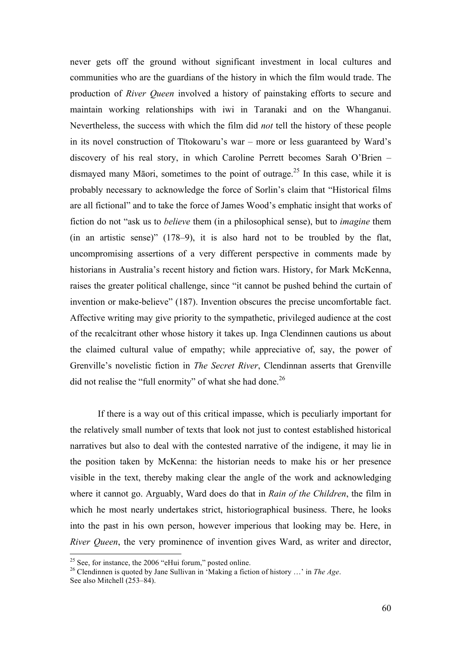never gets off the ground without significant investment in local cultures and communities who are the guardians of the history in which the film would trade. The production of *River Queen* involved a history of painstaking efforts to secure and maintain working relationships with iwi in Taranaki and on the Whanganui. Nevertheless, the success with which the film did *not* tell the history of these people in its novel construction of Tītokowaru's war – more or less guaranteed by Ward's discovery of his real story, in which Caroline Perrett becomes Sarah O'Brien – dismayed many Māori, sometimes to the point of outrage.<sup>25</sup> In this case, while it is probably necessary to acknowledge the force of Sorlin's claim that "Historical films are all fictional" and to take the force of James Wood's emphatic insight that works of fiction do not "ask us to *believe* them (in a philosophical sense), but to *imagine* them (in an artistic sense)" (178–9), it is also hard not to be troubled by the flat, uncompromising assertions of a very different perspective in comments made by historians in Australia's recent history and fiction wars. History, for Mark McKenna, raises the greater political challenge, since "it cannot be pushed behind the curtain of invention or make-believe" (187). Invention obscures the precise uncomfortable fact. Affective writing may give priority to the sympathetic, privileged audience at the cost of the recalcitrant other whose history it takes up. Inga Clendinnen cautions us about the claimed cultural value of empathy; while appreciative of, say, the power of Grenville's novelistic fiction in *The Secret River*, Clendinnan asserts that Grenville did not realise the "full enormity" of what she had done.<sup>26</sup>

If there is a way out of this critical impasse, which is peculiarly important for the relatively small number of texts that look not just to contest established historical narratives but also to deal with the contested narrative of the indigene, it may lie in the position taken by McKenna: the historian needs to make his or her presence visible in the text, thereby making clear the angle of the work and acknowledging where it cannot go. Arguably, Ward does do that in *Rain of the Children*, the film in which he most nearly undertakes strict, historiographical business. There, he looks into the past in his own person, however imperious that looking may be. Here, in *River Queen*, the very prominence of invention gives Ward, as writer and director,

<sup>&</sup>lt;sup>25</sup> See, for instance, the 2006 "eHui forum," posted online.<br><sup>26</sup> Clendinnen is quoted by Jane Sullivan in 'Making a fiction of history ...' in *The Age*. See also Mitchell (253*–*84).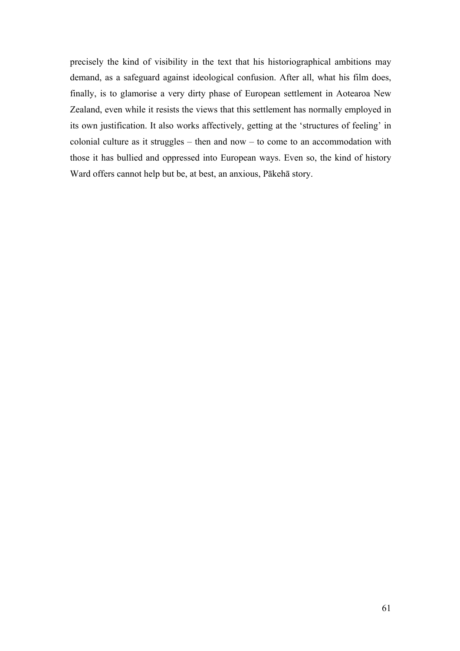precisely the kind of visibility in the text that his historiographical ambitions may demand, as a safeguard against ideological confusion. After all, what his film does, finally, is to glamorise a very dirty phase of European settlement in Aotearoa New Zealand, even while it resists the views that this settlement has normally employed in its own justification. It also works affectively, getting at the 'structures of feeling' in colonial culture as it struggles – then and now – to come to an accommodation with those it has bullied and oppressed into European ways. Even so, the kind of history Ward offers cannot help but be, at best, an anxious, Pākehā story.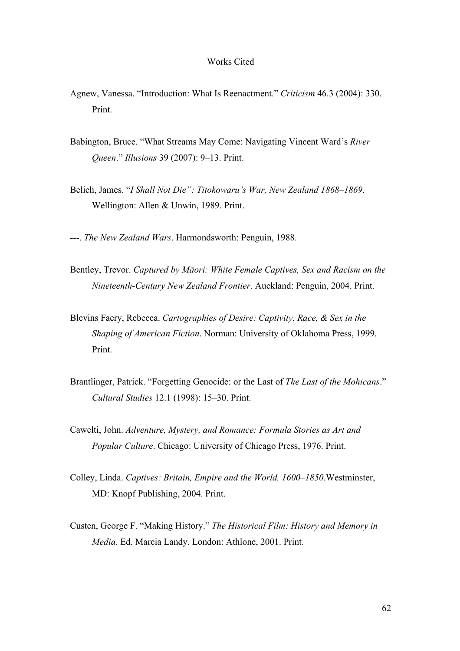## Works Cited

- Agnew, Vanessa. "Introduction: What Is Reenactment." *Criticism* 46.3 (2004): 330. Print.
- Babington, Bruce. "What Streams May Come: Navigating Vincent Ward's *River Queen*." *Illusions* 39 (2007): 9–13. Print.
- Belich, James. "*I Shall Not Die": Titokowaru's War, New Zealand 1868–1869*. Wellington: Allen & Unwin, 1989. Print.
- ---. *The New Zealand Wars*. Harmondsworth: Penguin, 1988.
- Bentley, Trevor. *Captured by Māori: White Female Captives, Sex and Racism on the Nineteenth-Century New Zealand Frontier*. Auckland: Penguin, 2004. Print.
- Blevins Faery, Rebecca. *Cartographies of Desire: Captivity, Race, & Sex in the Shaping of American Fiction*. Norman: University of Oklahoma Press, 1999. Print.
- Brantlinger, Patrick. "Forgetting Genocide: or the Last of *The Last of the Mohicans*." *Cultural Studies* 12.1 (1998): 15–30. Print.
- Cawelti, John. *Adventure, Mystery, and Romance: Formula Stories as Art and Popular Culture*. Chicago: University of Chicago Press, 1976. Print.
- Colley, Linda. *Captives: Britain, Empire and the World, 1600–1850*.Westminster, MD: Knopf Publishing, 2004. Print.
- Custen, George F. "Making History." *The Historical Film: History and Memory in Media*. Ed. Marcia Landy. London: Athlone, 2001. Print.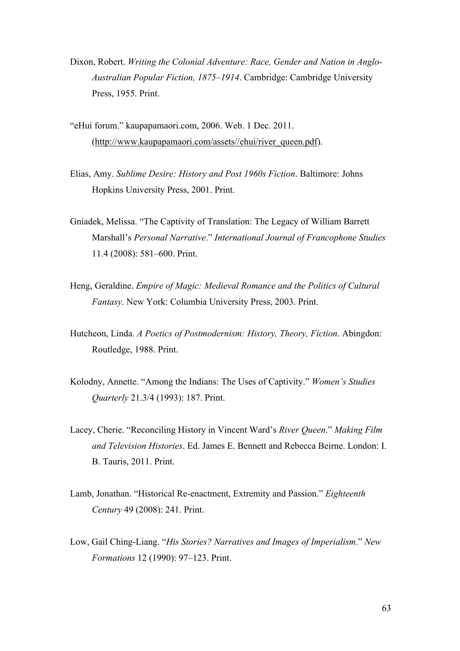- Dixon, Robert. *Writing the Colonial Adventure: Race, Gender and Nation in Anglo-Australian Popular Fiction, 1875–1914*. Cambridge: Cambridge University Press, 1955. Print.
- "eHui forum." kaupapamaori.com, 2006. Web. 1 Dec. 2011. (http://www.kaupapamaori.com/assets//ehui/river\_queen.pdf).
- Elias, Amy. *Sublime Desire: History and Post 1960s Fiction*. Baltimore: Johns Hopkins University Press, 2001. Print.
- Gniadek, Melissa. "The Captivity of Translation: The Legacy of William Barrett Marshall's *Personal Narrative*." *International Journal of Francophone Studies* 11.4 (2008): 581*–*600. Print.
- Heng, Geraldine. *Empire of Magic: Medieval Romance and the Politics of Cultural Fantasy*. New York: Columbia University Press, 2003. Print.
- Hutcheon, Linda. *A Poetics of Postmodernism: History, Theory, Fiction*. Abingdon: Routledge, 1988. Print.
- Kolodny, Annette. "Among the Indians: The Uses of Captivity." *Women's Studies Quarterly* 21.3/4 (1993): 187. Print.
- Lacey, Cherie. "Reconciling History in Vincent Ward's *River Queen*." *Making Film and Television Histories*. Ed. James E. Bennett and Rebecca Beirne. London: I. B. Tauris, 2011. Print.
- Lamb, Jonathan. "Historical Re-enactment, Extremity and Passion." *Eighteenth Century* 49 (2008): 241. Print.
- Low, Gail Ching-Liang. "*His Stories? Narratives and Images of Imperialism*." *New Formations* 12 (1990): 97–123. Print.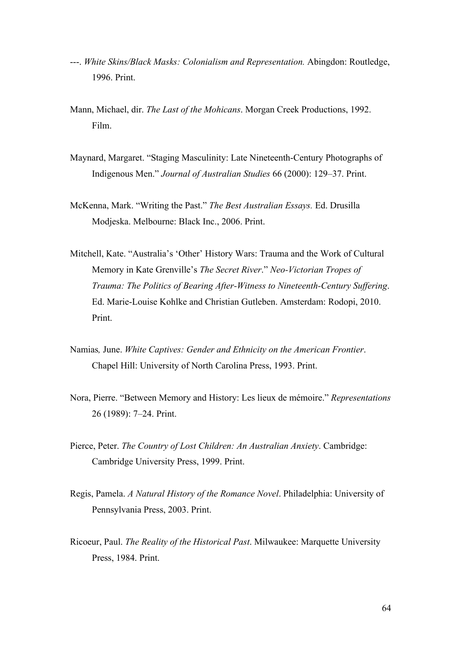- ---. *White Skins/Black Masks: Colonialism and Representation.* Abingdon: Routledge, 1996. Print.
- Mann, Michael, dir. *The Last of the Mohicans*. Morgan Creek Productions, 1992. Film.
- Maynard, Margaret. "Staging Masculinity: Late Nineteenth-Century Photographs of Indigenous Men." *Journal of Australian Studies* 66 (2000): 129–37. Print.
- McKenna, Mark. "Writing the Past." *The Best Australian Essays.* Ed. Drusilla Modjeska. Melbourne: Black Inc., 2006. Print.
- Mitchell, Kate. "Australia's 'Other' History Wars: Trauma and the Work of Cultural Memory in Kate Grenville's *The Secret River*." *Neo-Victorian Tropes of Trauma: The Politics of Bearing After-Witness to Nineteenth-Century Suffering*. Ed. Marie-Louise Kohlke and Christian Gutleben. Amsterdam: Rodopi, 2010. Print.
- Namias*,* June. *White Captives: Gender and Ethnicity on the American Frontier*. Chapel Hill: University of North Carolina Press, 1993. Print.
- Nora, Pierre. "Between Memory and History: Les lieux de mémoire." *Representations* 26 (1989): 7*–*24. Print.
- Pierce, Peter. *The Country of Lost Children: An Australian Anxiety*. Cambridge: Cambridge University Press, 1999. Print.
- Regis, Pamela. *A Natural History of the Romance Novel*. Philadelphia: University of Pennsylvania Press, 2003. Print.
- Ricoeur, Paul. *The Reality of the Historical Past*. Milwaukee: Marquette University Press, 1984. Print.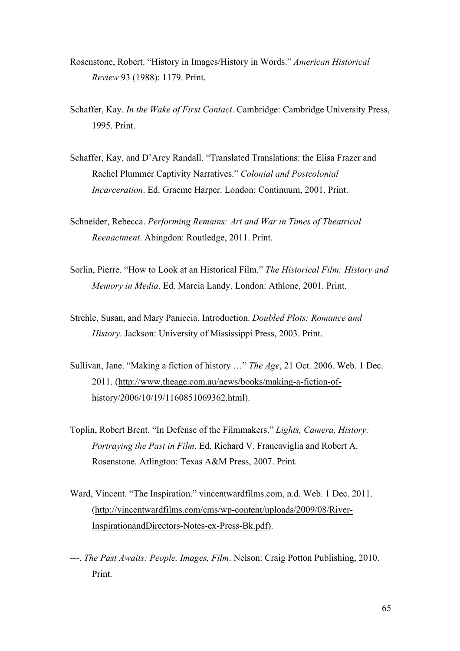- Rosenstone, Robert. "History in Images/History in Words." *American Historical Review* 93 (1988): 1179. Print.
- Schaffer, Kay. *In the Wake of First Contact*. Cambridge: Cambridge University Press, 1995. Print.
- Schaffer, Kay, and D'Arcy Randall. "Translated Translations: the Elisa Frazer and Rachel Plummer Captivity Narratives." *Colonial and Postcolonial Incarceration*. Ed. Graeme Harper. London: Continuum, 2001. Print.
- Schneider, Rebecca. *Performing Remains: Art and War in Times of Theatrical Reenactment*. Abingdon: Routledge, 2011. Print.
- Sorlin, Pierre. "How to Look at an Historical Film." *The Historical Film: History and Memory in Media*. Ed. Marcia Landy. London: Athlone, 2001. Print.
- Strehle, Susan, and Mary Paniccia. Introduction. *Doubled Plots: Romance and History*. Jackson: University of Mississippi Press, 2003. Print.
- Sullivan, Jane. "Making a fiction of history …" *The Age*, 21 Oct. 2006. Web. 1 Dec. 2011. (http://www.theage.com.au/news/books/making-a-fiction-ofhistory/2006/10/19/1160851069362.html).
- Toplin, Robert Brent. "In Defense of the Filmmakers." *Lights, Camera, History: Portraying the Past in Film*. Ed. Richard V. Francaviglia and Robert A. Rosenstone. Arlington: Texas A&M Press, 2007. Print.
- Ward, Vincent. "The Inspiration." vincentwardfilms.com, n.d. Web. 1 Dec. 2011. (http://vincentwardfilms.com/cms/wp-content/uploads/2009/08/River-InspirationandDirectors-Notes-ex-Press-Bk.pdf).
- ---. *The Past Awaits: People, Images, Film*. Nelson: Craig Potton Publishing, 2010. Print.